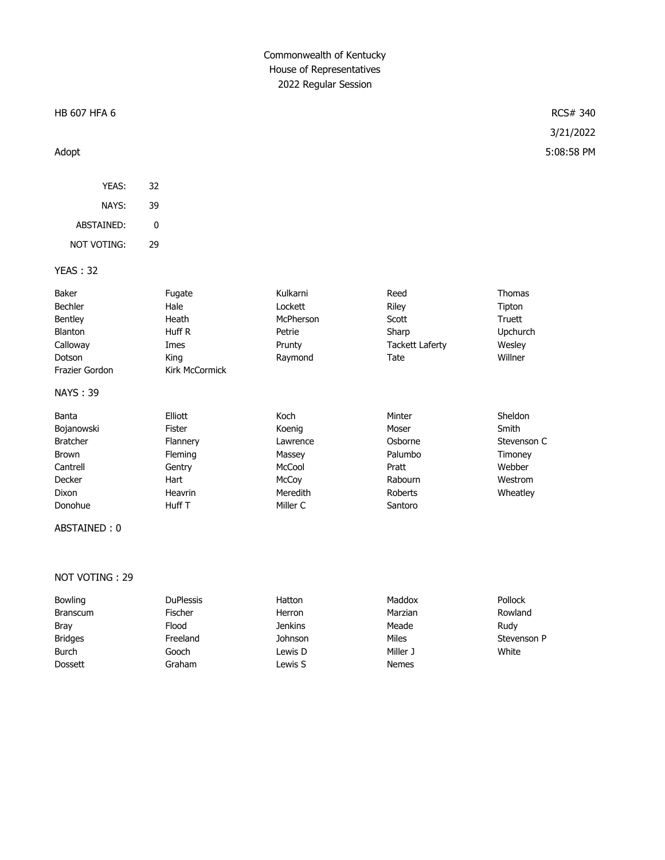# Commonwealth of Kentucky House of Representatives 2022 Regular Session

#### HB 607 HFA 6 RCS# 340

| YEAS:       | 32 |
|-------------|----|
| NAYS:       | 39 |
| ABSTAINED:  | U  |
| NOT VOTING: | 79 |

### YEAS : 32

| Baker           | Fugate         | Kulkarni  | Reed            | <b>Thomas</b>   |
|-----------------|----------------|-----------|-----------------|-----------------|
| Bechler         | Hale           | Lockett   | Riley           | Tipton          |
| Bentley         | Heath          | McPherson | Scott           | Truett          |
| Blanton         | Huff R         | Petrie    | Sharp           | <b>Upchurch</b> |
| Calloway        | Imes           | Prunty    | Tackett Laferty | Wesley          |
| Dotson          | Kina           | Raymond   | Tate            | Willner         |
| Frazier Gordon  | Kirk McCormick |           |                 |                 |
| <b>NAYS: 39</b> |                |           |                 |                 |
| Banta           | Elliott        | Koch      | Minter          | Sheldon         |

| -----           | -----    | .        | .       | -------     |
|-----------------|----------|----------|---------|-------------|
| Bojanowski      | Fister   | Koenig   | Moser   | Smith       |
| <b>Bratcher</b> | Flannery | Lawrence | Osborne | Stevenson C |
| <b>Brown</b>    | Fleming  | Massey   | Palumbo | Timoney     |
| Cantrell        | Gentry   | McCool   | Pratt   | Webber      |
| Decker          | Hart     | McCoy    | Rabourn | Westrom     |
| Dixon           | Heavrin  | Meredith | Roberts | Wheatley    |
| Donohue         | Huff T   | Miller C | Santoro |             |
|                 |          |          |         |             |

#### ABSTAINED : 0

#### NOT VOTING : 29

| Bowling         | <b>DuPlessis</b> | Hatton         | Maddox       | Pollock     |
|-----------------|------------------|----------------|--------------|-------------|
| <b>Branscum</b> | Fischer          | Herron         | Marzian      | Rowland     |
| <b>Bray</b>     | Flood            | <b>Jenkins</b> | Meade        | Rudy        |
| <b>Bridges</b>  | Freeland         | Johnson        | Miles        | Stevenson P |
| <b>Burch</b>    | Gooch            | Lewis D        | Miller J     | White       |
| <b>Dossett</b>  | Graham           | Lewis S        | <b>Nemes</b> |             |

# 3/21/2022 Adopt 5:08:58 PM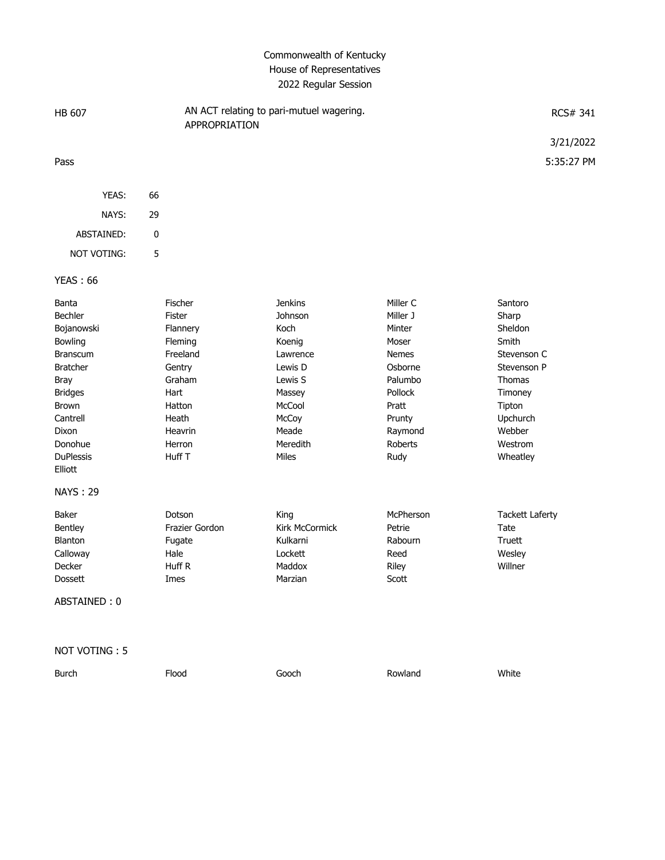# Commonwealth of Kentucky House of Representatives 2022 Regular Session

| <b>HB 607</b>                                                                                                                                                                                                      | AN ACT relating to pari-mutuel wagering.<br>APPROPRIATION                                                                          |                                                                                                                                          |                                                                                                                                           | RCS# 341                                                                                                                                       |
|--------------------------------------------------------------------------------------------------------------------------------------------------------------------------------------------------------------------|------------------------------------------------------------------------------------------------------------------------------------|------------------------------------------------------------------------------------------------------------------------------------------|-------------------------------------------------------------------------------------------------------------------------------------------|------------------------------------------------------------------------------------------------------------------------------------------------|
|                                                                                                                                                                                                                    |                                                                                                                                    |                                                                                                                                          |                                                                                                                                           | 3/21/2022                                                                                                                                      |
| Pass                                                                                                                                                                                                               |                                                                                                                                    |                                                                                                                                          |                                                                                                                                           | 5:35:27 PM                                                                                                                                     |
|                                                                                                                                                                                                                    |                                                                                                                                    |                                                                                                                                          |                                                                                                                                           |                                                                                                                                                |
| YEAS:                                                                                                                                                                                                              | 66                                                                                                                                 |                                                                                                                                          |                                                                                                                                           |                                                                                                                                                |
| NAYS:                                                                                                                                                                                                              | 29                                                                                                                                 |                                                                                                                                          |                                                                                                                                           |                                                                                                                                                |
| ABSTAINED:                                                                                                                                                                                                         | 0                                                                                                                                  |                                                                                                                                          |                                                                                                                                           |                                                                                                                                                |
| NOT VOTING:                                                                                                                                                                                                        | 5                                                                                                                                  |                                                                                                                                          |                                                                                                                                           |                                                                                                                                                |
| <b>YEAS: 66</b>                                                                                                                                                                                                    |                                                                                                                                    |                                                                                                                                          |                                                                                                                                           |                                                                                                                                                |
| Banta<br>Bechler<br>Bojanowski<br>Bowling<br><b>Branscum</b><br><b>Bratcher</b><br><b>Bray</b><br><b>Bridges</b><br><b>Brown</b><br>Cantrell<br>Dixon<br>Donohue<br><b>DuPlessis</b><br>Elliott<br><b>NAYS: 29</b> | Fischer<br>Fister<br>Flannery<br>Fleming<br>Freeland<br>Gentry<br>Graham<br>Hart<br>Hatton<br>Heath<br>Heavrin<br>Herron<br>Huff T | <b>Jenkins</b><br>Johnson<br>Koch<br>Koenig<br>Lawrence<br>Lewis D<br>Lewis S<br>Massey<br>McCool<br>McCoy<br>Meade<br>Meredith<br>Miles | Miller C<br>Miller J<br>Minter<br>Moser<br><b>Nemes</b><br>Osborne<br>Palumbo<br>Pollock<br>Pratt<br>Prunty<br>Raymond<br>Roberts<br>Rudy | Santoro<br>Sharp<br>Sheldon<br>Smith<br>Stevenson C<br>Stevenson P<br>Thomas<br>Timoney<br>Tipton<br>Upchurch<br>Webber<br>Westrom<br>Wheatley |
| Baker<br>Bentley<br>Blanton<br>Calloway<br>Decker<br>Dossett<br>ABSTAINED: 0                                                                                                                                       | Dotson<br>Frazier Gordon<br>Fugate<br>Hale<br>Huff R<br>Imes                                                                       | King<br>Kirk McCormick<br>Kulkarni<br>Lockett<br>Maddox<br>Marzian                                                                       | McPherson<br>Petrie<br>Rabourn<br>Reed<br>Riley<br>Scott                                                                                  | <b>Tackett Laferty</b><br>Tate<br>Truett<br>Wesley<br>Willner                                                                                  |
| NOT VOTING: 5                                                                                                                                                                                                      |                                                                                                                                    |                                                                                                                                          |                                                                                                                                           |                                                                                                                                                |
| <b>Burch</b>                                                                                                                                                                                                       | Flood                                                                                                                              | Gooch                                                                                                                                    | Rowland                                                                                                                                   | White                                                                                                                                          |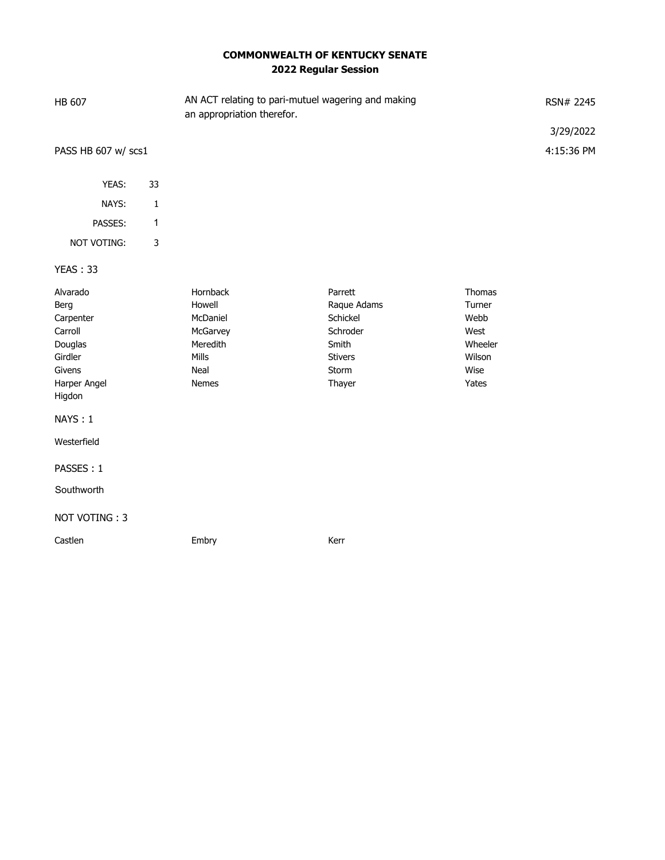# **COMMONWEALTH OF KENTUCKY SENATE 2022 Regular Session**

| HB 607                                                                                                                                                  |              | AN ACT relating to pari-mutuel wagering and making<br>an appropriation therefor. |                                                                                              |                                                                        | RSN# 2245<br>3/29/2022 |
|---------------------------------------------------------------------------------------------------------------------------------------------------------|--------------|----------------------------------------------------------------------------------|----------------------------------------------------------------------------------------------|------------------------------------------------------------------------|------------------------|
| PASS HB 607 w/ scs1                                                                                                                                     |              |                                                                                  |                                                                                              |                                                                        | 4:15:36 PM             |
| YEAS:                                                                                                                                                   | 33           |                                                                                  |                                                                                              |                                                                        |                        |
| NAYS:                                                                                                                                                   | $\mathbf 1$  |                                                                                  |                                                                                              |                                                                        |                        |
| PASSES:                                                                                                                                                 | $\mathbf{1}$ |                                                                                  |                                                                                              |                                                                        |                        |
| NOT VOTING:                                                                                                                                             | $\mathsf 3$  |                                                                                  |                                                                                              |                                                                        |                        |
| <b>YEAS: 33</b>                                                                                                                                         |              |                                                                                  |                                                                                              |                                                                        |                        |
| Alvarado<br>Berg<br>Carpenter<br>Carroll<br>Douglas<br>Girdler<br>Givens<br>Harper Angel<br>Higdon<br>NAYS: 1<br>Westerfield<br>PASSES: 1<br>Southworth |              | Hornback<br>Howell<br>McDaniel<br>McGarvey<br>Meredith<br>Mills<br>Neal<br>Nemes | Parrett<br>Raque Adams<br>Schickel<br>Schroder<br>Smith<br><b>Stivers</b><br>Storm<br>Thayer | Thomas<br>Turner<br>Webb<br>West<br>Wheeler<br>Wilson<br>Wise<br>Yates |                        |
| NOT VOTING: 3                                                                                                                                           |              |                                                                                  |                                                                                              |                                                                        |                        |
| Castlen                                                                                                                                                 |              | Embry                                                                            | Kerr                                                                                         |                                                                        |                        |